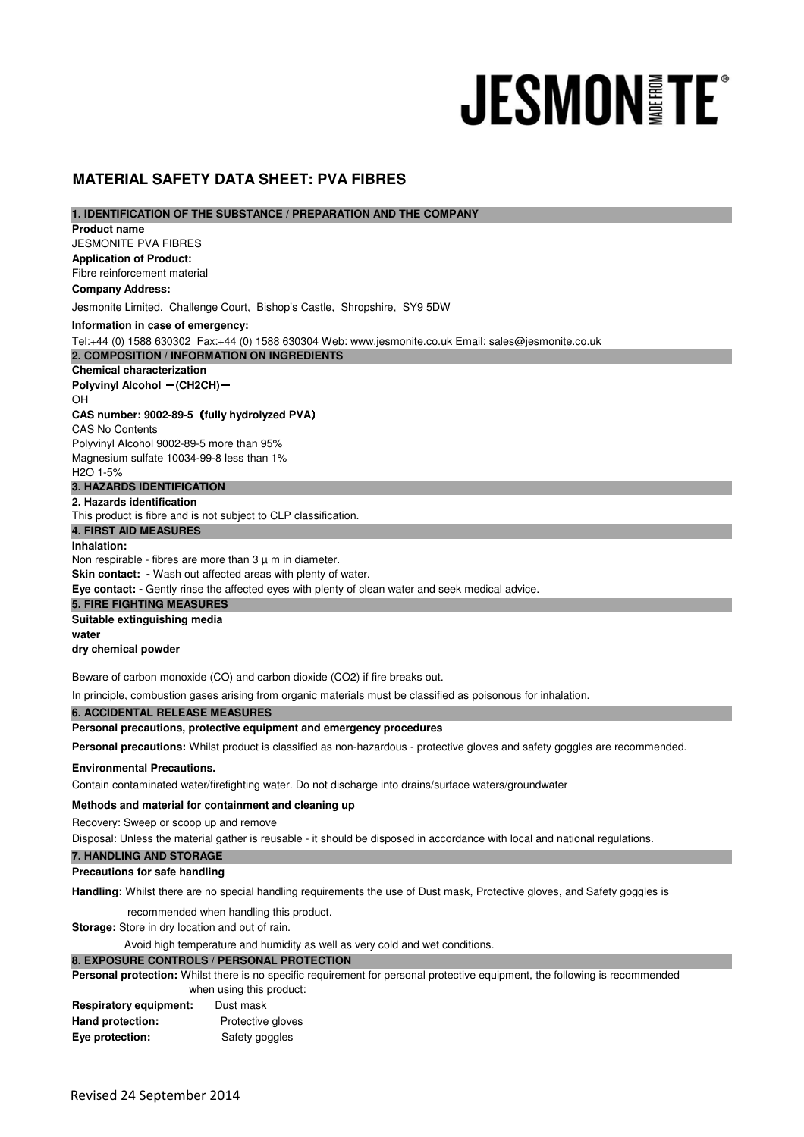# **JESMONITE**

# **MATERIAL SAFETY DATA SHEET: PVA FIBRES**

| 1. IDENTIFICATION OF THE SUBSTANCE / PREPARATION AND THE COMPANY |  |
|------------------------------------------------------------------|--|
|------------------------------------------------------------------|--|

**Application of Product:**  Fibre reinforcement material **Chemical characterization Polyvinyl Alcohol - (CH2CH)-**OH **CAS number: 9002-89-5**(**fully hydrolyzed PVA**) CAS No Contents Polyvinyl Alcohol 9002-89-5 more than 95% Magnesium sulfate 10034-99-8 less than 1% H2O 1-5% **2. Hazards identification Inhalation: Suitable extinguishing media water dry chemical powder Personal precautions, protective equipment and emergency procedures Environmental Precautions. Methods and material for containment and cleaning up Precautions for safe handling 5. FIRE FIGHTING MEASURES Storage:** Store in dry location and out of rain. when using this product: **6. ACCIDENTAL RELEASE MEASURES 7. HANDLING AND STORAGE 8. EXPOSURE CONTROLS / PERSONAL PROTECTION 2. COMPOSITION / INFORMATION ON INGREDIENTS 3. HAZARDS IDENTIFICATION 4. FIRST AID MEASURES Product name Company Address:** Jesmonite Limited. Challenge Court, Bishop's Castle, Shropshire, SY9 5DW Tel:+44 (0) 1588 630302 Fax:+44 (0) 1588 630304 Web: www.jesmonite.co.uk Email: sales@jesmonite.co.uk Personal precautions: Whilst product is classified as non-hazardous - protective gloves and safety goggles are recommended. Contain contaminated water/firefighting water. Do not discharge into drains/surface waters/groundwater **Information in case of emergency: Handling:** Whilst there are no special handling requirements the use of Dust mask, Protective gloves, and Safety goggles is In principle, combustion gases arising from organic materials must be classified as poisonous for inhalation. JESMONITE PVA FIBRES This product is fibre and is not subject to CLP classification. Non respirable - fibres are more than  $3 \mu$  m in diameter. **Skin contact: -** Wash out affected areas with plenty of water. **Eye contact: -** Gently rinse the affected eyes with plenty of clean water and seek medical advice. Recovery: Sweep or scoop up and remove recommended when handling this product. Personal protection: Whilst there is no specific requirement for personal protective equipment, the following is recommended **Respiratory equipment:** Dust mask Hand protection: Protective gloves Avoid high temperature and humidity as well as very cold and wet conditions. Disposal: Unless the material gather is reusable - it should be disposed in accordance with local and national regulations. Beware of carbon monoxide (CO) and carbon dioxide (CO2) if fire breaks out.

**Eye protection:** Safety goggles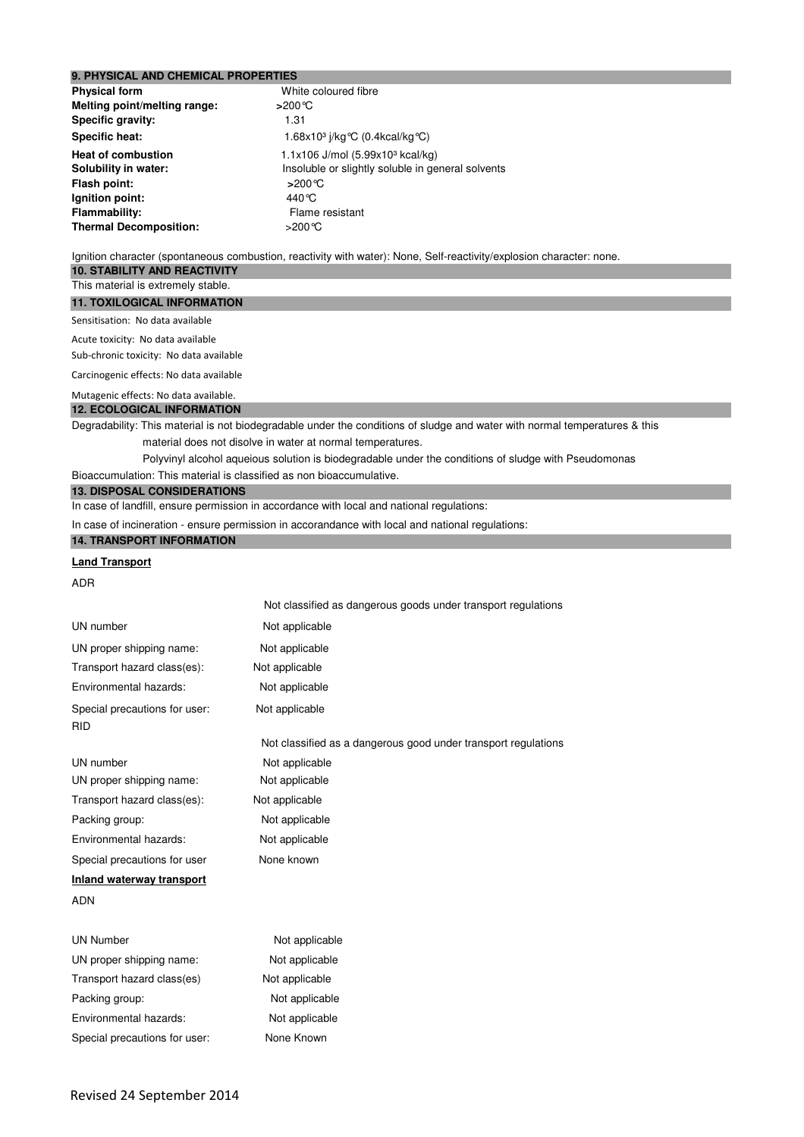# **9. PHYSICAL AND CHEMICAL PROPERTIES**

| White coloured fibre                              |
|---------------------------------------------------|
| >200℃                                             |
| 1.31                                              |
| 1.68x10 <sup>3</sup> j/kg °C (0.4kcal/kg °C)      |
| 1.1x106 J/mol (5.99x10 <sup>3</sup> kcal/kg)      |
| Insoluble or slightly soluble in general solvents |
| >200℃                                             |
| 440 °C                                            |
| Flame resistant                                   |
| >200℃                                             |
|                                                   |

Ignition character (spontaneous combustion, reactivity with water): None, Self-reactivity/explosion character: none.

# **10. STABILITY AND REACTIVITY**

# This material is extremely stable.

**11. TOXILOGICAL INFORMATION**

## Sensitisation: No data available

Acute toxicity: No data available

Sub-chronic toxicity: No data available

Carcinogenic effects: No data available

### **12. ECOLOGICAL INFORMATION**  Mutagenic effects: No data available.

Degradability: This material is not biodegradable under the conditions of sludge and water with normal temperatures & this material does not disolve in water at normal temperatures.

Polyvinyl alcohol aqueious solution is biodegradable under the conditions of sludge with Pseudomonas

Not classified as dangerous goods under transport regulations

Bioaccumulation: This material is classified as non bioaccumulative.

# **13. DISPOSAL CONSIDERATIONS**

In case of landfill, ensure permission in accordance with local and national regulations:

In case of incineration - ensure permission in accorandance with local and national regulations:

### **14. TRANSPORT INFORMATION**

# **Land Transport**

ADR

| UN number                                   | Not applicable                                                 |
|---------------------------------------------|----------------------------------------------------------------|
| UN proper shipping name:                    | Not applicable                                                 |
| Transport hazard class(es):                 | Not applicable                                                 |
| Environmental hazards:                      | Not applicable                                                 |
| Special precautions for user:<br><b>RID</b> | Not applicable                                                 |
|                                             | Not classified as a dangerous good under transport regulations |
| UN number                                   | Not applicable                                                 |
| UN proper shipping name:                    | Not applicable                                                 |
| Transport hazard class(es):                 | Not applicable                                                 |
| Packing group:                              | Not applicable                                                 |
| Environmental hazards:                      | Not applicable                                                 |
| Special precautions for user                | None known                                                     |
| Inland waterway transport                   |                                                                |
| <b>ADN</b>                                  |                                                                |
| <b>UN Number</b>                            | Not applicable                                                 |
| UN proper shipping name:                    | Not applicable                                                 |
| Transport hazard class(es)                  | Not applicable                                                 |
| Packing group:                              | Not applicable                                                 |
| Environmental hazards:                      | Not applicable                                                 |
|                                             |                                                                |

Special precautions for user: None Known